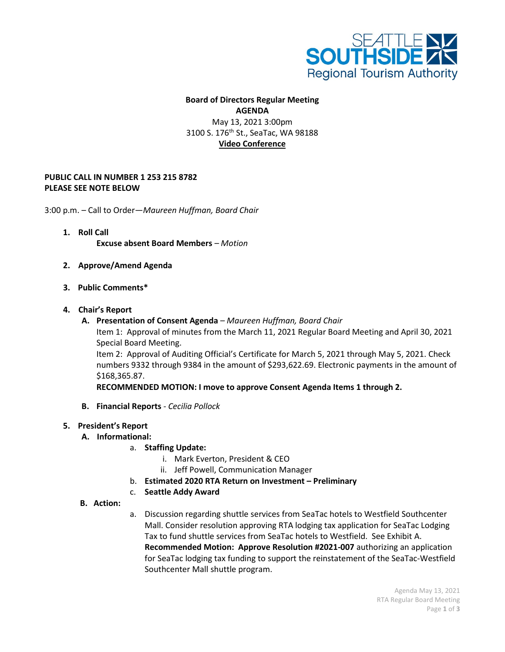

## **Board of Directors Regular Meeting AGENDA** May 13, 2021 3:00pm 3100 S. 176<sup>th</sup> St., SeaTac, WA 98188 **Video Conference**

## **PUBLIC CALL IN NUMBER 1 253 215 8782 PLEASE SEE NOTE BELOW**

3:00 p.m. – Call to Order—*Maureen Huffman, Board Chair*

- **1. Roll Call Excuse absent Board Members** *– Motion*
- **2. Approve/Amend Agenda**
- **3. Public Comments\***
- **4. Chair's Report**
	- **A. Presentation of Consent Agenda** *– Maureen Huffman, Board Chair*

Item 1: Approval of minutes from the March 11, 2021 Regular Board Meeting and April 30, 2021 Special Board Meeting.

Item 2: Approval of Auditing Official's Certificate for March 5, 2021 through May 5, 2021. Check numbers 9332 through 9384 in the amount of \$293,622.69. Electronic payments in the amount of \$168,365.87.

**RECOMMENDED MOTION: I move to approve Consent Agenda Items 1 through 2.**

- **B. Financial Reports** *- Cecilia Pollock*
- **5. President's Report** 
	- **A. Informational:**
		- a. **Staffing Update:**
			- i. Mark Everton, President & CEO
			- ii. Jeff Powell, Communication Manager
		- b. **Estimated 2020 RTA Return on Investment – Preliminary**
		- c. **Seattle Addy Award**
	- **B. Action:**
- a. Discussion regarding shuttle services from SeaTac hotels to Westfield Southcenter Mall. Consider resolution approving RTA lodging tax application for SeaTac Lodging Tax to fund shuttle services from SeaTac hotels to Westfield. See Exhibit A. **Recommended Motion: Approve Resolution #2021-007** authorizing an application for SeaTac lodging tax funding to support the reinstatement of the SeaTac-Westfield Southcenter Mall shuttle program.

Agenda May 13, 2021 RTA Regular Board Meeting Page **1** of **3**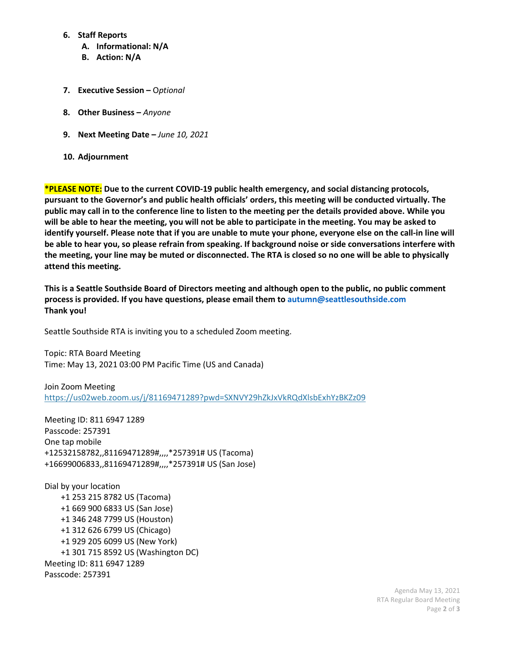## **6. Staff Reports**

- **A. Informational: N/A**
- **B. Action: N/A**
- **7. Executive Session –** O*ptional*
- **8. Other Business –** *Anyone*
- **9. Next Meeting Date –** *June 10, 2021*
- **10. Adjournment**

**\*PLEASE NOTE: Due to the current COVID-19 public health emergency, and social distancing protocols, pursuant to the Governor's and public health officials' orders, this meeting will be conducted virtually. The public may call in to the conference line to listen to the meeting per the details provided above. While you will be able to hear the meeting, you will not be able to participate in the meeting. You may be asked to identify yourself. Please note that if you are unable to mute your phone, everyone else on the call-in line will be able to hear you, so please refrain from speaking. If background noise or side conversations interfere with the meeting, your line may be muted or disconnected. The RTA is closed so no one will be able to physically attend this meeting.** 

**This is a Seattle Southside Board of Directors meeting and although open to the public, no public comment process is provided. If you have questions, please email them to autumn@seattlesouthside.com Thank you!**

Seattle Southside RTA is inviting you to a scheduled Zoom meeting.

Topic: RTA Board Meeting Time: May 13, 2021 03:00 PM Pacific Time (US and Canada)

Join Zoom Meeting <https://us02web.zoom.us/j/81169471289?pwd=SXNVY29hZkJxVkRQdXlsbExhYzBKZz09>

Meeting ID: 811 6947 1289 Passcode: 257391 One tap mobile +12532158782,,81169471289#,,,,\*257391# US (Tacoma) +16699006833,,81169471289#,,,,\*257391# US (San Jose)

Dial by your location +1 253 215 8782 US (Tacoma) +1 669 900 6833 US (San Jose) +1 346 248 7799 US (Houston) +1 312 626 6799 US (Chicago) +1 929 205 6099 US (New York) +1 301 715 8592 US (Washington DC) Meeting ID: 811 6947 1289 Passcode: 257391

> Agenda May 13, 2021 RTA Regular Board Meeting Page **2** of **3**